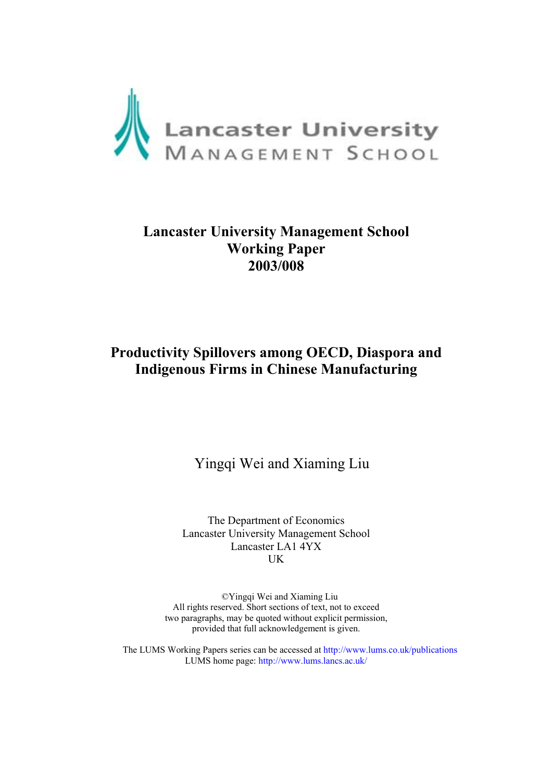

# **Lancaster University Management School Working Paper 2003/008**

# **Productivity Spillovers among OECD, Diaspora and Indigenous Firms in Chinese Manufacturing**

Yingqi Wei and Xiaming Liu

The Department of Economics Lancaster University Management School Lancaster LA1 4YX UK

©Yingqi Wei and Xiaming Liu All rights reserved. Short sections of text, not to exceed two paragraphs, may be quoted without explicit permission, provided that full acknowledgement is given.

The LUMS Working Papers series can be accessed at <http://www.lums.co.uk/publications> LUMS home page:<http://www.lums.lancs.ac.uk/>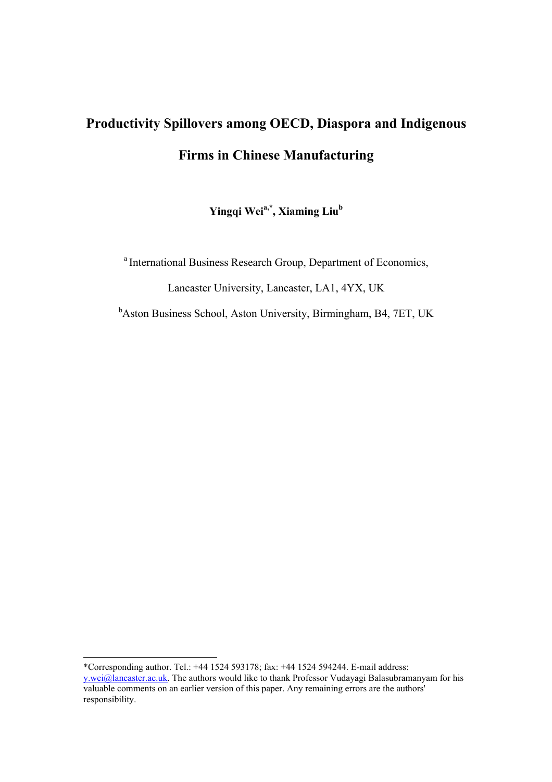# **Productivity Spillovers among OECD, Diaspora and Indigenous Firms in Chinese Manufacturing**

Yingqi Wei<sup>a,\*</sup>, Xiaming Liu<sup>b</sup>

a International Business Research Group, Department of Economics,

Lancaster University, Lancaster, LA1, 4YX, UK

<sup>b</sup>Aston Business School, Aston University, Birmingham, B4, 7ET, UK

l \*Corresponding author. Tel.: +44 1524 593178; fax: +44 1524 594244. E-mail address: y.wei@lancaster.ac.uk. The authors would like to thank Professor Vudayagi Balasubramanyam for his valuable comments on an earlier version of this paper. Any remaining errors are the authors' responsibility.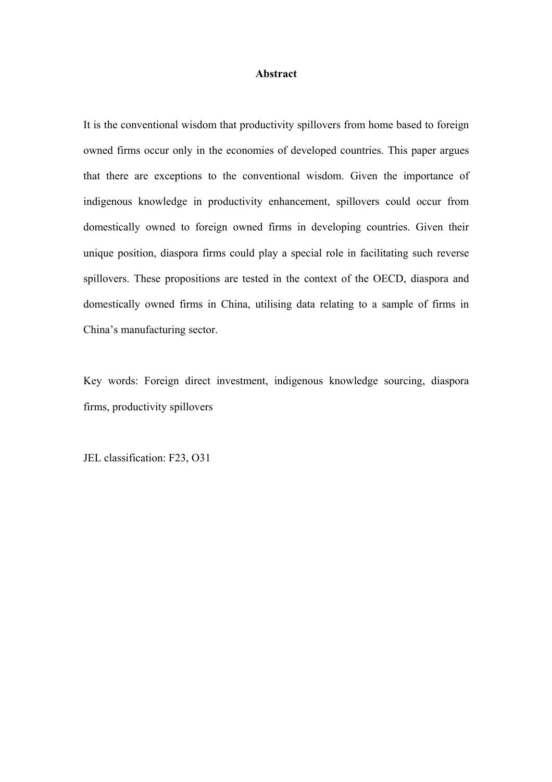#### **Abstract**

It is the conventional wisdom that productivity spillovers from home based to foreign owned firms occur only in the economies of developed countries. This paper argues that there are exceptions to the conventional wisdom. Given the importance of indigenous knowledge in productivity enhancement, spillovers could occur from domestically owned to foreign owned firms in developing countries. Given their unique position, diaspora firms could play a special role in facilitating such reverse spillovers. These propositions are tested in the context of the OECD, diaspora and domestically owned firms in China, utilising data relating to a sample of firms in China's manufacturing sector.

Key words: Foreign direct investment, indigenous knowledge sourcing, diaspora firms, productivity spillovers

JEL classification: F23, O31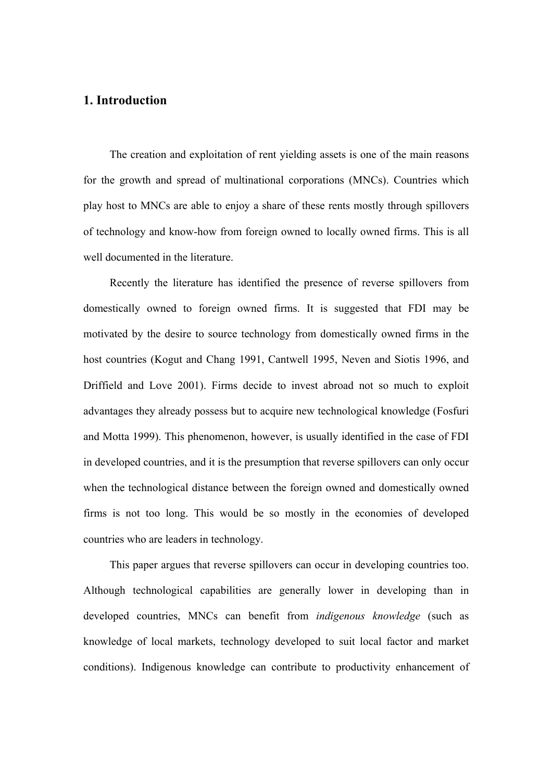## **1. Introduction**

The creation and exploitation of rent yielding assets is one of the main reasons for the growth and spread of multinational corporations (MNCs). Countries which play host to MNCs are able to enjoy a share of these rents mostly through spillovers of technology and know-how from foreign owned to locally owned firms. This is all well documented in the literature.

Recently the literature has identified the presence of reverse spillovers from domestically owned to foreign owned firms. It is suggested that FDI may be motivated by the desire to source technology from domestically owned firms in the host countries (Kogut and Chang 1991, Cantwell 1995, Neven and Siotis 1996, and Driffield and Love 2001). Firms decide to invest abroad not so much to exploit advantages they already possess but to acquire new technological knowledge (Fosfuri and Motta 1999). This phenomenon, however, is usually identified in the case of FDI in developed countries, and it is the presumption that reverse spillovers can only occur when the technological distance between the foreign owned and domestically owned firms is not too long. This would be so mostly in the economies of developed countries who are leaders in technology.

This paper argues that reverse spillovers can occur in developing countries too. Although technological capabilities are generally lower in developing than in developed countries, MNCs can benefit from *indigenous knowledge* (such as knowledge of local markets, technology developed to suit local factor and market conditions). Indigenous knowledge can contribute to productivity enhancement of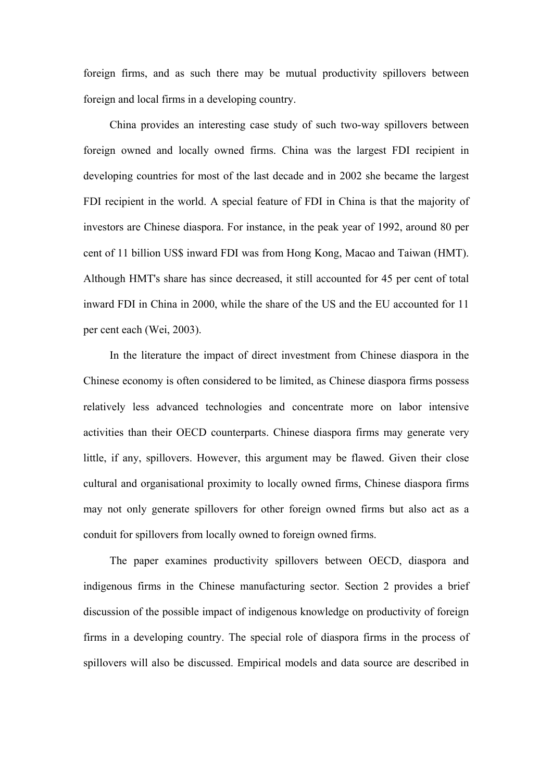foreign firms, and as such there may be mutual productivity spillovers between foreign and local firms in a developing country.

China provides an interesting case study of such two-way spillovers between foreign owned and locally owned firms. China was the largest FDI recipient in developing countries for most of the last decade and in 2002 she became the largest FDI recipient in the world. A special feature of FDI in China is that the majority of investors are Chinese diaspora. For instance, in the peak year of 1992, around 80 per cent of 11 billion US\$ inward FDI was from Hong Kong, Macao and Taiwan (HMT). Although HMT's share has since decreased, it still accounted for 45 per cent of total inward FDI in China in 2000, while the share of the US and the EU accounted for 11 per cent each (Wei, 2003).

In the literature the impact of direct investment from Chinese diaspora in the Chinese economy is often considered to be limited, as Chinese diaspora firms possess relatively less advanced technologies and concentrate more on labor intensive activities than their OECD counterparts. Chinese diaspora firms may generate very little, if any, spillovers. However, this argument may be flawed. Given their close cultural and organisational proximity to locally owned firms, Chinese diaspora firms may not only generate spillovers for other foreign owned firms but also act as a conduit for spillovers from locally owned to foreign owned firms.

The paper examines productivity spillovers between OECD, diaspora and indigenous firms in the Chinese manufacturing sector. Section 2 provides a brief discussion of the possible impact of indigenous knowledge on productivity of foreign firms in a developing country. The special role of diaspora firms in the process of spillovers will also be discussed. Empirical models and data source are described in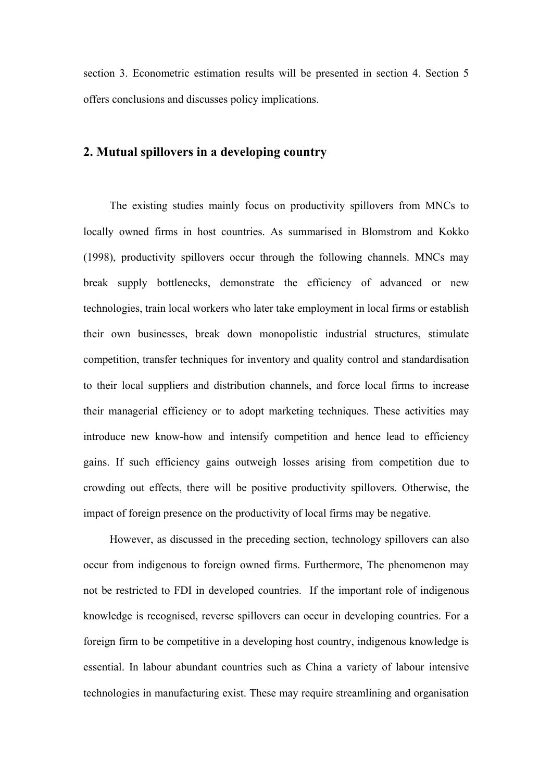section 3. Econometric estimation results will be presented in section 4. Section 5 offers conclusions and discusses policy implications.

## **2. Mutual spillovers in a developing country**

The existing studies mainly focus on productivity spillovers from MNCs to locally owned firms in host countries. As summarised in Blomstrom and Kokko (1998), productivity spillovers occur through the following channels. MNCs may break supply bottlenecks, demonstrate the efficiency of advanced or new technologies, train local workers who later take employment in local firms or establish their own businesses, break down monopolistic industrial structures, stimulate competition, transfer techniques for inventory and quality control and standardisation to their local suppliers and distribution channels, and force local firms to increase their managerial efficiency or to adopt marketing techniques. These activities may introduce new know-how and intensify competition and hence lead to efficiency gains. If such efficiency gains outweigh losses arising from competition due to crowding out effects, there will be positive productivity spillovers. Otherwise, the impact of foreign presence on the productivity of local firms may be negative.

However, as discussed in the preceding section, technology spillovers can also occur from indigenous to foreign owned firms. Furthermore, The phenomenon may not be restricted to FDI in developed countries. If the important role of indigenous knowledge is recognised, reverse spillovers can occur in developing countries. For a foreign firm to be competitive in a developing host country, indigenous knowledge is essential. In labour abundant countries such as China a variety of labour intensive technologies in manufacturing exist. These may require streamlining and organisation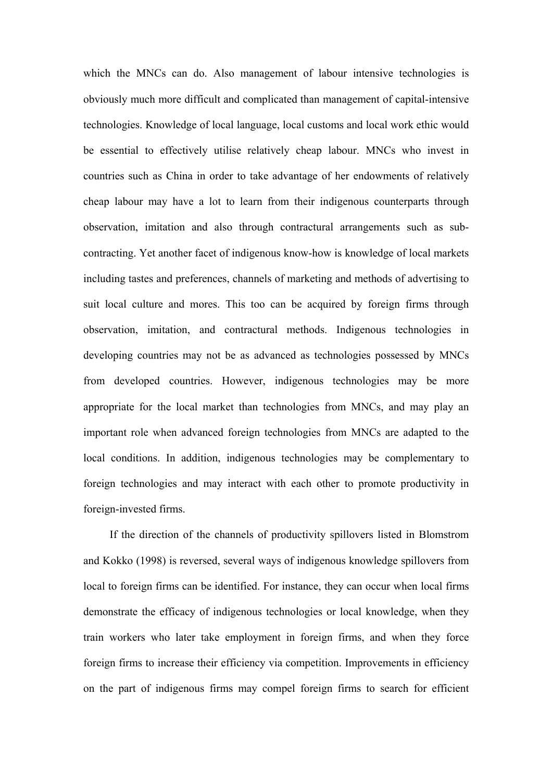which the MNCs can do. Also management of labour intensive technologies is obviously much more difficult and complicated than management of capital-intensive technologies. Knowledge of local language, local customs and local work ethic would be essential to effectively utilise relatively cheap labour. MNCs who invest in countries such as China in order to take advantage of her endowments of relatively cheap labour may have a lot to learn from their indigenous counterparts through observation, imitation and also through contractural arrangements such as subcontracting. Yet another facet of indigenous know-how is knowledge of local markets including tastes and preferences, channels of marketing and methods of advertising to suit local culture and mores. This too can be acquired by foreign firms through observation, imitation, and contractural methods. Indigenous technologies in developing countries may not be as advanced as technologies possessed by MNCs from developed countries. However, indigenous technologies may be more appropriate for the local market than technologies from MNCs, and may play an important role when advanced foreign technologies from MNCs are adapted to the local conditions. In addition, indigenous technologies may be complementary to foreign technologies and may interact with each other to promote productivity in foreign-invested firms.

If the direction of the channels of productivity spillovers listed in Blomstrom and Kokko (1998) is reversed, several ways of indigenous knowledge spillovers from local to foreign firms can be identified. For instance, they can occur when local firms demonstrate the efficacy of indigenous technologies or local knowledge, when they train workers who later take employment in foreign firms, and when they force foreign firms to increase their efficiency via competition. Improvements in efficiency on the part of indigenous firms may compel foreign firms to search for efficient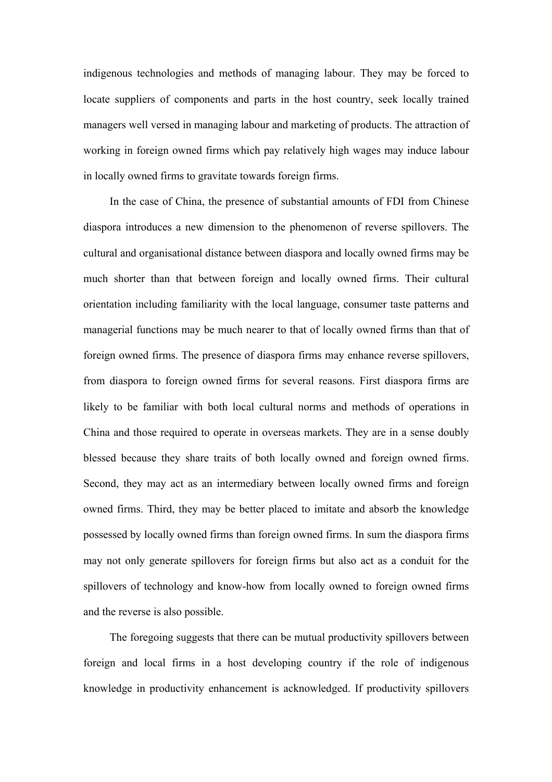indigenous technologies and methods of managing labour. They may be forced to locate suppliers of components and parts in the host country, seek locally trained managers well versed in managing labour and marketing of products. The attraction of working in foreign owned firms which pay relatively high wages may induce labour in locally owned firms to gravitate towards foreign firms.

In the case of China, the presence of substantial amounts of FDI from Chinese diaspora introduces a new dimension to the phenomenon of reverse spillovers. The cultural and organisational distance between diaspora and locally owned firms may be much shorter than that between foreign and locally owned firms. Their cultural orientation including familiarity with the local language, consumer taste patterns and managerial functions may be much nearer to that of locally owned firms than that of foreign owned firms. The presence of diaspora firms may enhance reverse spillovers, from diaspora to foreign owned firms for several reasons. First diaspora firms are likely to be familiar with both local cultural norms and methods of operations in China and those required to operate in overseas markets. They are in a sense doubly blessed because they share traits of both locally owned and foreign owned firms. Second, they may act as an intermediary between locally owned firms and foreign owned firms. Third, they may be better placed to imitate and absorb the knowledge possessed by locally owned firms than foreign owned firms. In sum the diaspora firms may not only generate spillovers for foreign firms but also act as a conduit for the spillovers of technology and know-how from locally owned to foreign owned firms and the reverse is also possible.

The foregoing suggests that there can be mutual productivity spillovers between foreign and local firms in a host developing country if the role of indigenous knowledge in productivity enhancement is acknowledged. If productivity spillovers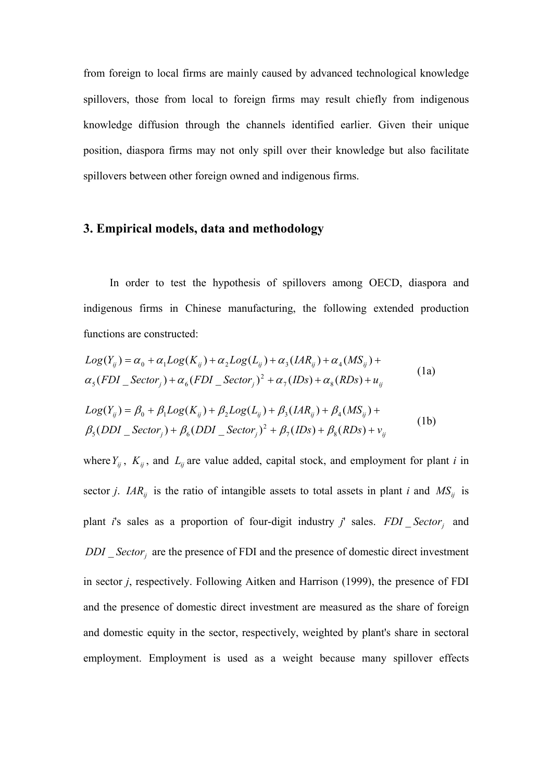from foreign to local firms are mainly caused by advanced technological knowledge spillovers, those from local to foreign firms may result chiefly from indigenous knowledge diffusion through the channels identified earlier. Given their unique position, diaspora firms may not only spill over their knowledge but also facilitate spillovers between other foreign owned and indigenous firms.

### **3. Empirical models, data and methodology**

In order to test the hypothesis of spillovers among OECD, diaspora and indigenous firms in Chinese manufacturing, the following extended production functions are constructed:

$$
Log(Y_{ij}) = \alpha_0 + \alpha_1 Log(K_{ij}) + \alpha_2 Log(L_{ij}) + \alpha_3 (IAR_{ij}) + \alpha_4 (MS_{ij}) +
$$
  
\n
$$
\alpha_5 (FDI\_Sector_j) + \alpha_6 (FDI\_Sector_j)^2 + \alpha_7 (IDs) + \alpha_8 (RDs) + u_{ij}
$$
\n(1a)

$$
Log(Y_{ij}) = \beta_0 + \beta_1 Log(K_{ij}) + \beta_2 Log(L_{ij}) + \beta_3 (IAR_{ij}) + \beta_4 (MS_{ij}) +
$$
  

$$
\beta_5 (DDI\_Sector_j) + \beta_6 (DDI\_Sector_j)^2 + \beta_7 (IDs) + \beta_8 (RDs) + v_{ij}
$$
 (1b)

where  $Y_{ij}$ ,  $K_{ij}$ , and  $L_{ij}$  are value added, capital stock, and employment for plant *i* in sector *j.*  $IAR_{ij}$  is the ratio of intangible assets to total assets in plant *i* and  $MS_{ij}$  is plant *i*'s sales as a proportion of four-digit industry *j*' sales. *FDI* \_ Sector<sub>i</sub> and  $DDI$ <sub>\_</sub>Sector<sub>j</sub> are the presence of FDI and the presence of domestic direct investment in sector *j*, respectively. Following Aitken and Harrison (1999), the presence of FDI and the presence of domestic direct investment are measured as the share of foreign and domestic equity in the sector, respectively, weighted by plant's share in sectoral employment. Employment is used as a weight because many spillover effects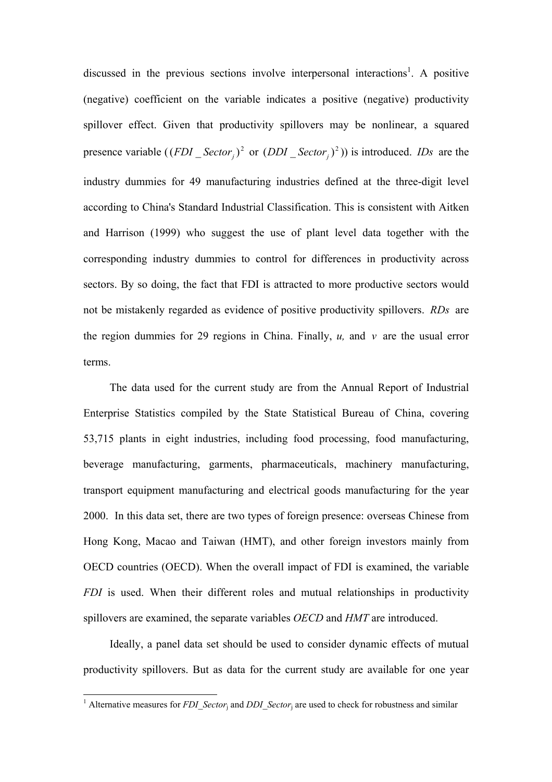discussed in the previous sections involve interpersonal interactions<sup>1</sup>. A positive (negative) coefficient on the variable indicates a positive (negative) productivity spillover effect. Given that productivity spillovers may be nonlinear, a squared presence variable  $((FDI\_Sector_i)^2$  or  $(DDI\_Sector_i)^2$ ) is introduced. *IDs* are the industry dummies for 49 manufacturing industries defined at the three-digit level according to China's Standard Industrial Classification. This is consistent with Aitken and Harrison (1999) who suggest the use of plant level data together with the corresponding industry dummies to control for differences in productivity across sectors. By so doing, the fact that FDI is attracted to more productive sectors would not be mistakenly regarded as evidence of positive productivity spillovers. *RDs* are the region dummies for 29 regions in China. Finally, *u,* and *v* are the usual error terms.

The data used for the current study are from the Annual Report of Industrial Enterprise Statistics compiled by the State Statistical Bureau of China, covering 53,715 plants in eight industries, including food processing, food manufacturing, beverage manufacturing, garments, pharmaceuticals, machinery manufacturing, transport equipment manufacturing and electrical goods manufacturing for the year 2000. In this data set, there are two types of foreign presence: overseas Chinese from Hong Kong, Macao and Taiwan (HMT), and other foreign investors mainly from OECD countries (OECD). When the overall impact of FDI is examined, the variable *FDI* is used. When their different roles and mutual relationships in productivity spillovers are examined, the separate variables *OECD* and *HMT* are introduced.

Ideally, a panel data set should be used to consider dynamic effects of mutual productivity spillovers. But as data for the current study are available for one year

<sup>&</sup>lt;sup>1</sup> Alternative measures for *FDI\_Sector*<sub>j</sub> and *DDI\_Sector*<sub>j</sub> are used to check for robustness and similar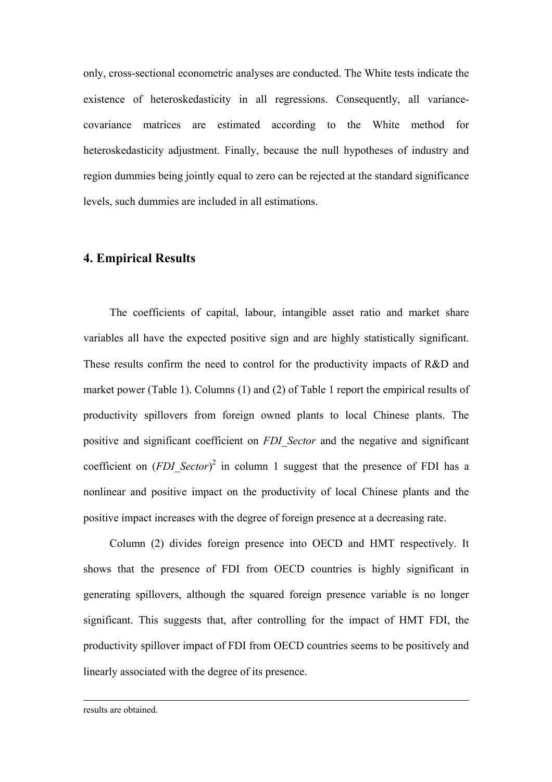only, cross-sectional econometric analyses are conducted. The White tests indicate the existence of heteroskedasticity in all regressions. Consequently, all variancecovariance matrices are estimated according to the White method for heteroskedasticity adjustment. Finally, because the null hypotheses of industry and region dummies being jointly equal to zero can be rejected at the standard significance levels, such dummies are included in all estimations.

#### **4. Empirical Results**

The coefficients of capital, labour, intangible asset ratio and market share variables all have the expected positive sign and are highly statistically significant. These results confirm the need to control for the productivity impacts of R&D and market power (Table 1). Columns (1) and (2) of Table 1 report the empirical results of productivity spillovers from foreign owned plants to local Chinese plants. The positive and significant coefficient on *FDI\_Sector* and the negative and significant coefficient on  $(FDI\text{ Sector})^2$  in column 1 suggest that the presence of FDI has a nonlinear and positive impact on the productivity of local Chinese plants and the positive impact increases with the degree of foreign presence at a decreasing rate.

Column (2) divides foreign presence into OECD and HMT respectively. It shows that the presence of FDI from OECD countries is highly significant in generating spillovers, although the squared foreign presence variable is no longer significant. This suggests that, after controlling for the impact of HMT FDI, the productivity spillover impact of FDI from OECD countries seems to be positively and linearly associated with the degree of its presence.

results are obtained.

-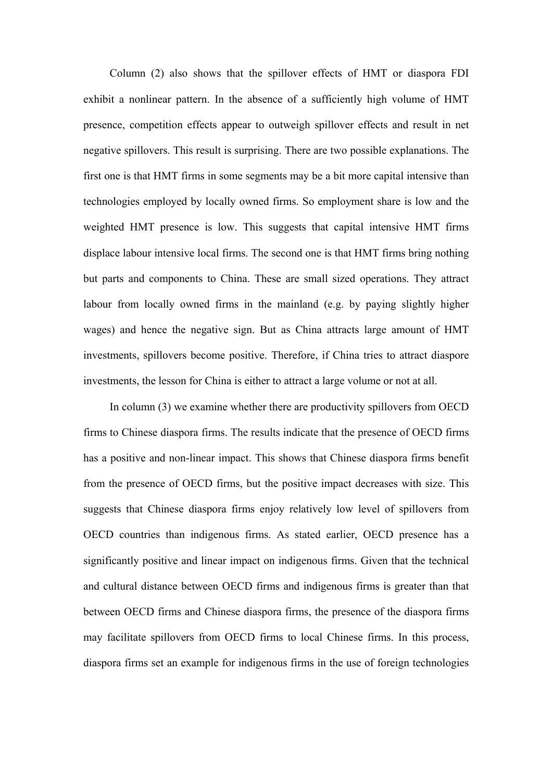Column (2) also shows that the spillover effects of HMT or diaspora FDI exhibit a nonlinear pattern. In the absence of a sufficiently high volume of HMT presence, competition effects appear to outweigh spillover effects and result in net negative spillovers. This result is surprising. There are two possible explanations. The first one is that HMT firms in some segments may be a bit more capital intensive than technologies employed by locally owned firms. So employment share is low and the weighted HMT presence is low. This suggests that capital intensive HMT firms displace labour intensive local firms. The second one is that HMT firms bring nothing but parts and components to China. These are small sized operations. They attract labour from locally owned firms in the mainland (e.g. by paying slightly higher wages) and hence the negative sign. But as China attracts large amount of HMT investments, spillovers become positive. Therefore, if China tries to attract diaspore investments, the lesson for China is either to attract a large volume or not at all.

In column (3) we examine whether there are productivity spillovers from OECD firms to Chinese diaspora firms. The results indicate that the presence of OECD firms has a positive and non-linear impact. This shows that Chinese diaspora firms benefit from the presence of OECD firms, but the positive impact decreases with size. This suggests that Chinese diaspora firms enjoy relatively low level of spillovers from OECD countries than indigenous firms. As stated earlier, OECD presence has a significantly positive and linear impact on indigenous firms. Given that the technical and cultural distance between OECD firms and indigenous firms is greater than that between OECD firms and Chinese diaspora firms, the presence of the diaspora firms may facilitate spillovers from OECD firms to local Chinese firms. In this process, diaspora firms set an example for indigenous firms in the use of foreign technologies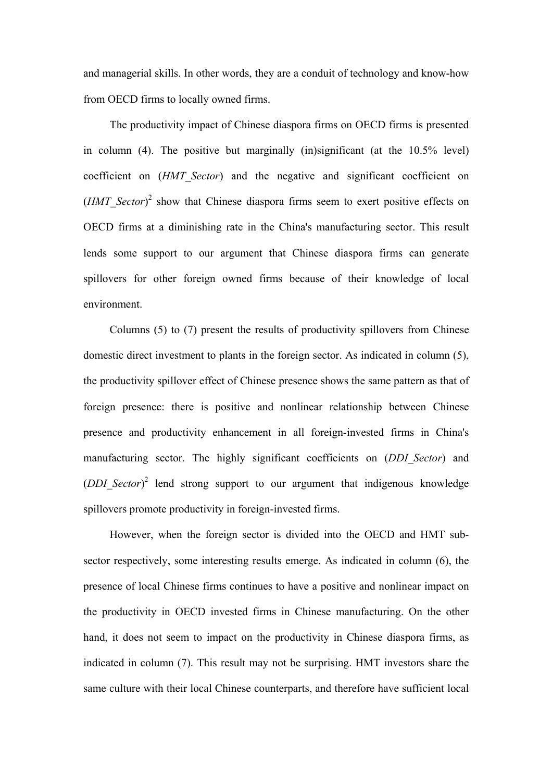and managerial skills. In other words, they are a conduit of technology and know-how from OECD firms to locally owned firms.

The productivity impact of Chinese diaspora firms on OECD firms is presented in column (4). The positive but marginally (in)significant (at the 10.5% level) coefficient on (*HMT\_Sector*) and the negative and significant coefficient on  $(HMT\text{ Sector})^2$  show that Chinese diaspora firms seem to exert positive effects on OECD firms at a diminishing rate in the China's manufacturing sector. This result lends some support to our argument that Chinese diaspora firms can generate spillovers for other foreign owned firms because of their knowledge of local environment.

Columns (5) to (7) present the results of productivity spillovers from Chinese domestic direct investment to plants in the foreign sector. As indicated in column (5), the productivity spillover effect of Chinese presence shows the same pattern as that of foreign presence: there is positive and nonlinear relationship between Chinese presence and productivity enhancement in all foreign-invested firms in China's manufacturing sector. The highly significant coefficients on (*DDI\_Sector*) and ( $DDI$  Sector)<sup>2</sup> lend strong support to our argument that indigenous knowledge spillovers promote productivity in foreign-invested firms.

However, when the foreign sector is divided into the OECD and HMT subsector respectively, some interesting results emerge. As indicated in column (6), the presence of local Chinese firms continues to have a positive and nonlinear impact on the productivity in OECD invested firms in Chinese manufacturing. On the other hand, it does not seem to impact on the productivity in Chinese diaspora firms, as indicated in column (7). This result may not be surprising. HMT investors share the same culture with their local Chinese counterparts, and therefore have sufficient local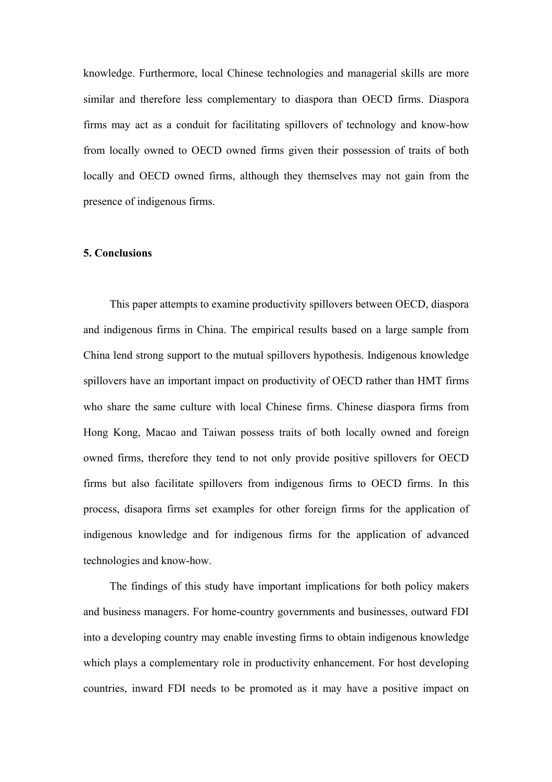knowledge. Furthermore, local Chinese technologies and managerial skills are more similar and therefore less complementary to diaspora than OECD firms. Diaspora firms may act as a conduit for facilitating spillovers of technology and know-how from locally owned to OECD owned firms given their possession of traits of both locally and OECD owned firms, although they themselves may not gain from the presence of indigenous firms.

#### **5. Conclusions**

This paper attempts to examine productivity spillovers between OECD, diaspora and indigenous firms in China. The empirical results based on a large sample from China lend strong support to the mutual spillovers hypothesis. Indigenous knowledge spillovers have an important impact on productivity of OECD rather than HMT firms who share the same culture with local Chinese firms. Chinese diaspora firms from Hong Kong, Macao and Taiwan possess traits of both locally owned and foreign owned firms, therefore they tend to not only provide positive spillovers for OECD firms but also facilitate spillovers from indigenous firms to OECD firms. In this process, disapora firms set examples for other foreign firms for the application of indigenous knowledge and for indigenous firms for the application of advanced technologies and know-how.

The findings of this study have important implications for both policy makers and business managers. For home-country governments and businesses, outward FDI into a developing country may enable investing firms to obtain indigenous knowledge which plays a complementary role in productivity enhancement. For host developing countries, inward FDI needs to be promoted as it may have a positive impact on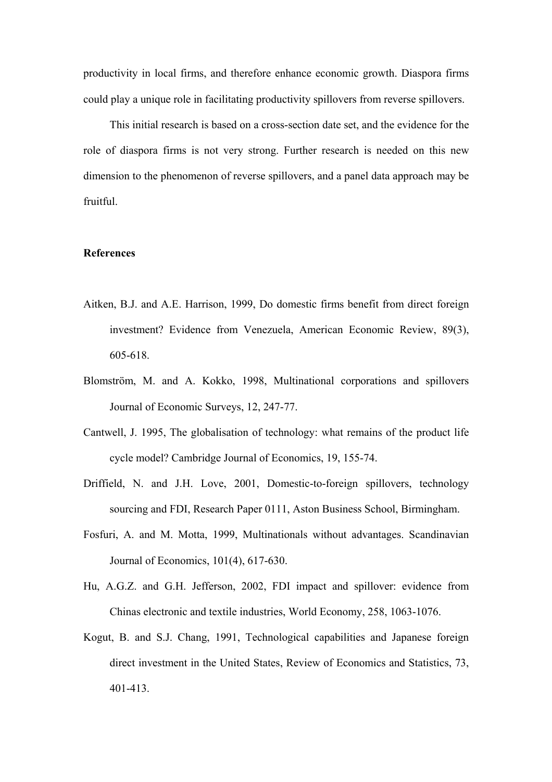productivity in local firms, and therefore enhance economic growth. Diaspora firms could play a unique role in facilitating productivity spillovers from reverse spillovers.

This initial research is based on a cross-section date set, and the evidence for the role of diaspora firms is not very strong. Further research is needed on this new dimension to the phenomenon of reverse spillovers, and a panel data approach may be fruitful.

#### **References**

- Aitken, B.J. and A.E. Harrison, 1999, Do domestic firms benefit from direct foreign investment? Evidence from Venezuela, American Economic Review, 89(3), 605-618.
- Blomström, M. and A. Kokko, 1998, Multinational corporations and spillovers Journal of Economic Surveys, 12, 247-77.
- Cantwell, J. 1995, The globalisation of technology: what remains of the product life cycle model? Cambridge Journal of Economics, 19, 155-74.
- Driffield, N. and J.H. Love, 2001, Domestic-to-foreign spillovers, technology sourcing and FDI, Research Paper 0111, Aston Business School, Birmingham.
- Fosfuri, A. and M. Motta, 1999, Multinationals without advantages. Scandinavian Journal of Economics, 101(4), 617-630.
- Hu, A.G.Z. and G.H. Jefferson, 2002, FDI impact and spillover: evidence from Chinas electronic and textile industries, World Economy, 258, 1063-1076.
- Kogut, B. and S.J. Chang, 1991, Technological capabilities and Japanese foreign direct investment in the United States, Review of Economics and Statistics, 73, 401-413.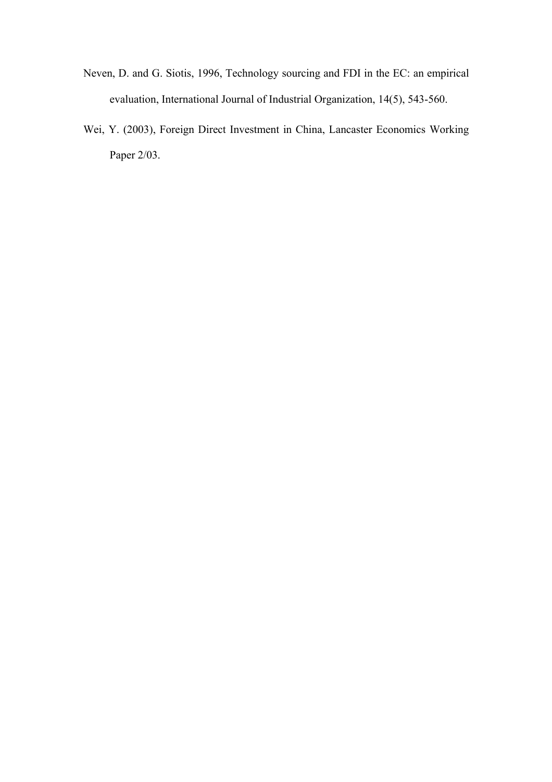- Neven, D. and G. Siotis, 1996, Technology sourcing and FDI in the EC: an empirical evaluation, International Journal of Industrial Organization, 14(5), 543-560.
- Wei, Y. (2003), Foreign Direct Investment in China, Lancaster Economics Working Paper 2/03.